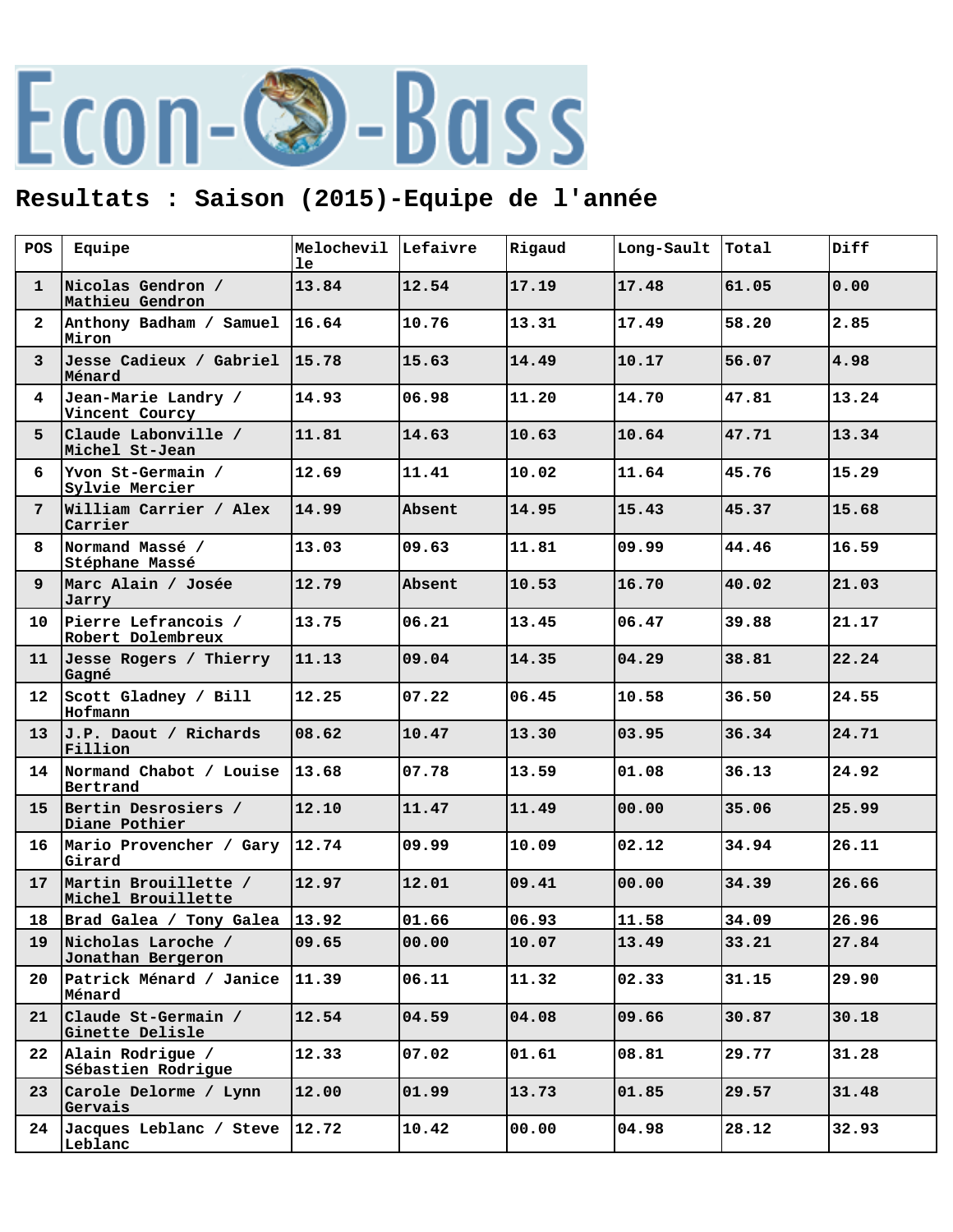## Econ-©-Bass

## **Resultats : Saison (2015)-Equipe de l'année**

| POS             | Equipe                                       | Melochevil Lefaivre<br>le |        | Rigaud | Long-Sault | Total | Diff  |
|-----------------|----------------------------------------------|---------------------------|--------|--------|------------|-------|-------|
| $\mathbf{1}$    | Nicolas Gendron /<br>Mathieu Gendron         | 13.84                     | 12.54  | 17.19  | 17.48      | 61.05 | 0.00  |
| $\mathbf{2}^-$  | Anthony Badham / Samuel<br>Miron             | 116.64                    | 10.76  | 13.31  | 17.49      | 58.20 | 2.85  |
| 3 <sup>1</sup>  | Jesse Cadieux / Gabriel  15.78<br>Ménard     |                           | 15.63  | 14.49  | 10.17      | 56.07 | 4.98  |
| 4               | Jean-Marie Landry /<br>Vincent Courcy        | 14.93                     | 06.98  | 11.20  | 14.70      | 47.81 | 13.24 |
| 5               | Claude Labonville /<br>Michel St-Jean        | 11.81                     | 14.63  | 10.63  | 10.64      | 47.71 | 13.34 |
| 6               | Yvon St-Germain /<br>Sylvie Mercier          | 12.69                     | 11.41  | 10.02  | 11.64      | 45.76 | 15.29 |
| 7               | William Carrier / Alex<br>Carrier            | 14.99                     | Absent | 14.95  | 15.43      | 45.37 | 15.68 |
| 8               | Normand Massé /<br>Stéphane Massé            | 13.03                     | 09.63  | 11.81  | 09.99      | 44.46 | 16.59 |
| 9               | Marc Alain / Josée<br>Jarry                  | 12.79                     | Absent | 10.53  | 16.70      | 40.02 | 21.03 |
| 10              | Pierre Lefrancois /<br>Robert Dolembreux     | 13.75                     | 06.21  | 13.45  | 06.47      | 39.88 | 21.17 |
| 11              | Jesse Rogers / Thierry<br>Gagné              | 11.13                     | 09.04  | 14.35  | 04.29      | 38.81 | 22.24 |
| 12 <sub>1</sub> | Scott Gladney / Bill<br>Hofmann              | 12.25                     | 07.22  | 06.45  | 10.58      | 36.50 | 24.55 |
| 13              | J.P. Daout / Richards<br>Fillion             | 08.62                     | 10.47  | 13.30  | 03.95      | 36.34 | 24.71 |
|                 | 14 Normand Chabot / Louise 13.68<br>Bertrand |                           | 07.78  | 13.59  | 01.08      | 36.13 | 24.92 |
| 15 <sub>1</sub> | Bertin Desrosiers /<br>Diane Pothier         | 12.10                     | 11.47  | 11.49  | 00.00      | 35.06 | 25.99 |
| 16              | Mario Provencher / Gary 12.74<br>Girard      |                           | 09.99  | 10.09  | 02.12      | 34.94 | 26.11 |
| 17              | Martin Brouillette /<br>Michel Brouillette   | 12.97                     | 12.01  | 09.41  | 00.00      | 34.39 | 26.66 |
|                 | 18 Brad Galea / Tony Galea 13.92             |                           | 01.66  | 06.93  | 11.58      | 34.09 | 26.96 |
| 19              | Nicholas Laroche /<br>Jonathan Bergeron      | 09.65                     | 00.00  | 10.07  | 13.49      | 33.21 | 27.84 |
| 20              | Patrick Ménard / Janice<br>Ménard            | 11.39                     | 06.11  | 11.32  | 02.33      | 31.15 | 29.90 |
| 21              | Claude St-Germain /<br>Ginette Delisle       | 12.54                     | 04.59  | 04.08  | 09.66      | 30.87 | 30.18 |
| $22 \,$         | Alain Rodrigue /<br>Sébastien Rodrigue       | 12.33                     | 07.02  | 01.61  | 08.81      | 29.77 | 31.28 |
| 23 <sub>o</sub> | Carole Delorme / Lynn<br>Gervais             | 12.00                     | 01.99  | 13.73  | 01.85      | 29.57 | 31.48 |
| 24              | Jacques Leblanc / Steve<br>Leblanc           | 12.72                     | 10.42  | 00.00  | 04.98      | 28.12 | 32.93 |